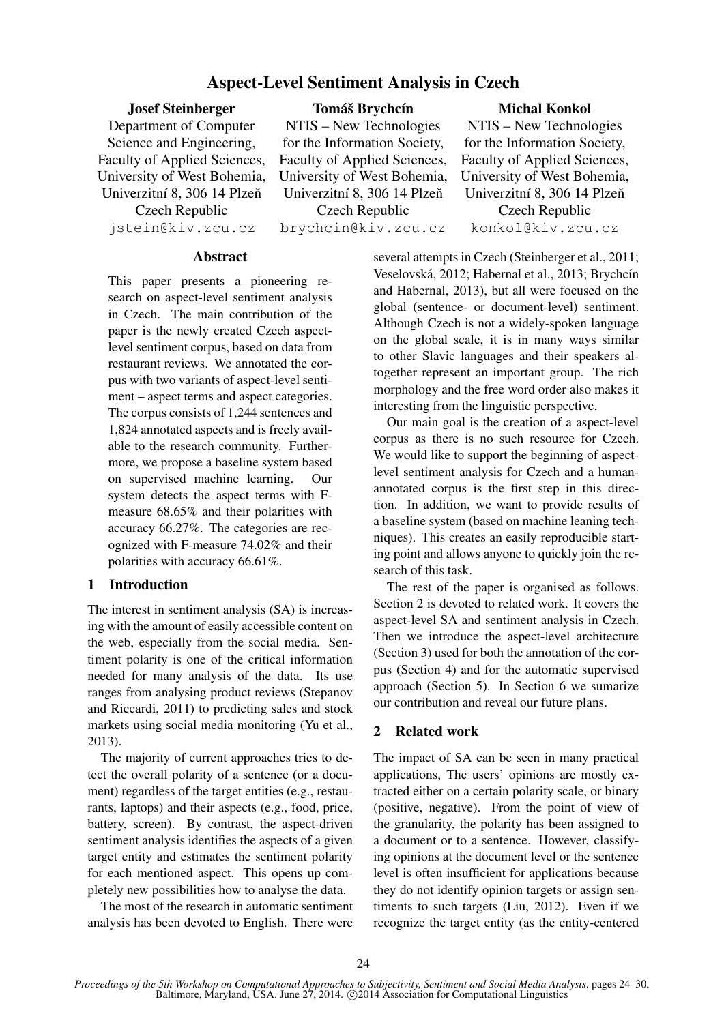# Aspect-Level Sentiment Analysis in Czech

Josef Steinberger Department of Computer Science and Engineering, Faculty of Applied Sciences, University of West Bohemia, Univerzitní 8, 306 14 Plzeň Czech Republic jstein@kiv.zcu.cz

Tomáš Brychcín

NTIS – New Technologies for the Information Society, Faculty of Applied Sciences, University of West Bohemia, Univerzitní 8, 306 14 Plzeň Czech Republic brychcin@kiv.zcu.cz

Michal Konkol

NTIS – New Technologies for the Information Society, Faculty of Applied Sciences, University of West Bohemia, Univerzitní 8, 306 14 Plzeň Czech Republic konkol@kiv.zcu.cz

### **Abstract**

This paper presents a pioneering research on aspect-level sentiment analysis in Czech. The main contribution of the paper is the newly created Czech aspectlevel sentiment corpus, based on data from restaurant reviews. We annotated the corpus with two variants of aspect-level sentiment – aspect terms and aspect categories. The corpus consists of 1,244 sentences and 1,824 annotated aspects and is freely available to the research community. Furthermore, we propose a baseline system based on supervised machine learning. Our system detects the aspect terms with Fmeasure 68.65% and their polarities with accuracy 66.27%. The categories are recognized with F-measure 74.02% and their polarities with accuracy 66.61%.

# 1 Introduction

The interest in sentiment analysis (SA) is increasing with the amount of easily accessible content on the web, especially from the social media. Sentiment polarity is one of the critical information needed for many analysis of the data. Its use ranges from analysing product reviews (Stepanov and Riccardi, 2011) to predicting sales and stock markets using social media monitoring (Yu et al., 2013).

The majority of current approaches tries to detect the overall polarity of a sentence (or a document) regardless of the target entities (e.g., restaurants, laptops) and their aspects (e.g., food, price, battery, screen). By contrast, the aspect-driven sentiment analysis identifies the aspects of a given target entity and estimates the sentiment polarity for each mentioned aspect. This opens up completely new possibilities how to analyse the data.

The most of the research in automatic sentiment analysis has been devoted to English. There were several attempts in Czech (Steinberger et al., 2011; Veselovská, 2012; Habernal et al., 2013; Brychcín and Habernal, 2013), but all were focused on the global (sentence- or document-level) sentiment. Although Czech is not a widely-spoken language on the global scale, it is in many ways similar to other Slavic languages and their speakers altogether represent an important group. The rich morphology and the free word order also makes it interesting from the linguistic perspective.

Our main goal is the creation of a aspect-level corpus as there is no such resource for Czech. We would like to support the beginning of aspectlevel sentiment analysis for Czech and a humanannotated corpus is the first step in this direction. In addition, we want to provide results of a baseline system (based on machine leaning techniques). This creates an easily reproducible starting point and allows anyone to quickly join the research of this task.

The rest of the paper is organised as follows. Section 2 is devoted to related work. It covers the aspect-level SA and sentiment analysis in Czech. Then we introduce the aspect-level architecture (Section 3) used for both the annotation of the corpus (Section 4) and for the automatic supervised approach (Section 5). In Section 6 we sumarize our contribution and reveal our future plans.

# 2 Related work

The impact of SA can be seen in many practical applications, The users' opinions are mostly extracted either on a certain polarity scale, or binary (positive, negative). From the point of view of the granularity, the polarity has been assigned to a document or to a sentence. However, classifying opinions at the document level or the sentence level is often insufficient for applications because they do not identify opinion targets or assign sentiments to such targets (Liu, 2012). Even if we recognize the target entity (as the entity-centered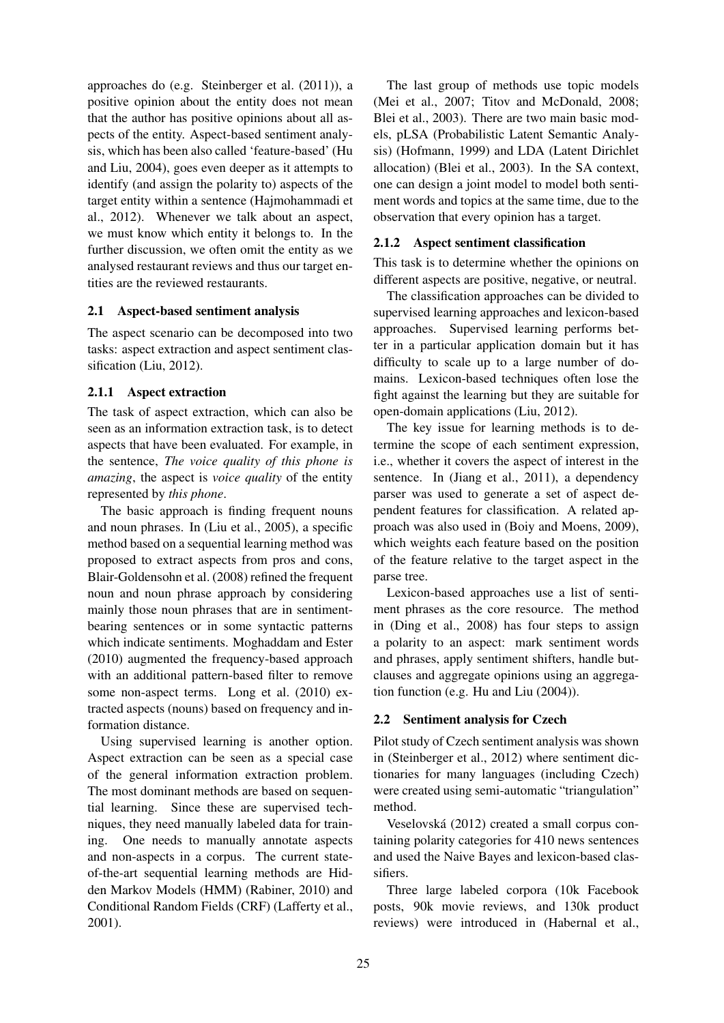approaches do (e.g. Steinberger et al. (2011)), a positive opinion about the entity does not mean that the author has positive opinions about all aspects of the entity. Aspect-based sentiment analysis, which has been also called 'feature-based' (Hu and Liu, 2004), goes even deeper as it attempts to identify (and assign the polarity to) aspects of the target entity within a sentence (Hajmohammadi et al., 2012). Whenever we talk about an aspect, we must know which entity it belongs to. In the further discussion, we often omit the entity as we analysed restaurant reviews and thus our target entities are the reviewed restaurants.

# 2.1 Aspect-based sentiment analysis

The aspect scenario can be decomposed into two tasks: aspect extraction and aspect sentiment classification (Liu, 2012).

# 2.1.1 Aspect extraction

The task of aspect extraction, which can also be seen as an information extraction task, is to detect aspects that have been evaluated. For example, in the sentence, *The voice quality of this phone is amazing*, the aspect is *voice quality* of the entity represented by *this phone*.

The basic approach is finding frequent nouns and noun phrases. In (Liu et al., 2005), a specific method based on a sequential learning method was proposed to extract aspects from pros and cons, Blair-Goldensohn et al. (2008) refined the frequent noun and noun phrase approach by considering mainly those noun phrases that are in sentimentbearing sentences or in some syntactic patterns which indicate sentiments. Moghaddam and Ester (2010) augmented the frequency-based approach with an additional pattern-based filter to remove some non-aspect terms. Long et al. (2010) extracted aspects (nouns) based on frequency and information distance.

Using supervised learning is another option. Aspect extraction can be seen as a special case of the general information extraction problem. The most dominant methods are based on sequential learning. Since these are supervised techniques, they need manually labeled data for training. One needs to manually annotate aspects and non-aspects in a corpus. The current stateof-the-art sequential learning methods are Hidden Markov Models (HMM) (Rabiner, 2010) and Conditional Random Fields (CRF) (Lafferty et al., 2001).

The last group of methods use topic models (Mei et al., 2007; Titov and McDonald, 2008; Blei et al., 2003). There are two main basic models, pLSA (Probabilistic Latent Semantic Analysis) (Hofmann, 1999) and LDA (Latent Dirichlet allocation) (Blei et al., 2003). In the SA context, one can design a joint model to model both sentiment words and topics at the same time, due to the observation that every opinion has a target.

## 2.1.2 Aspect sentiment classification

This task is to determine whether the opinions on different aspects are positive, negative, or neutral.

The classification approaches can be divided to supervised learning approaches and lexicon-based approaches. Supervised learning performs better in a particular application domain but it has difficulty to scale up to a large number of domains. Lexicon-based techniques often lose the fight against the learning but they are suitable for open-domain applications (Liu, 2012).

The key issue for learning methods is to determine the scope of each sentiment expression, i.e., whether it covers the aspect of interest in the sentence. In (Jiang et al., 2011), a dependency parser was used to generate a set of aspect dependent features for classification. A related approach was also used in (Boiy and Moens, 2009), which weights each feature based on the position of the feature relative to the target aspect in the parse tree.

Lexicon-based approaches use a list of sentiment phrases as the core resource. The method in (Ding et al., 2008) has four steps to assign a polarity to an aspect: mark sentiment words and phrases, apply sentiment shifters, handle butclauses and aggregate opinions using an aggregation function (e.g. Hu and Liu (2004)).

# 2.2 Sentiment analysis for Czech

Pilot study of Czech sentiment analysis was shown in (Steinberger et al., 2012) where sentiment dictionaries for many languages (including Czech) were created using semi-automatic "triangulation" method.

Veselovska (2012) created a small corpus con- ´ taining polarity categories for 410 news sentences and used the Naive Bayes and lexicon-based classifiers.

Three large labeled corpora (10k Facebook posts, 90k movie reviews, and 130k product reviews) were introduced in (Habernal et al.,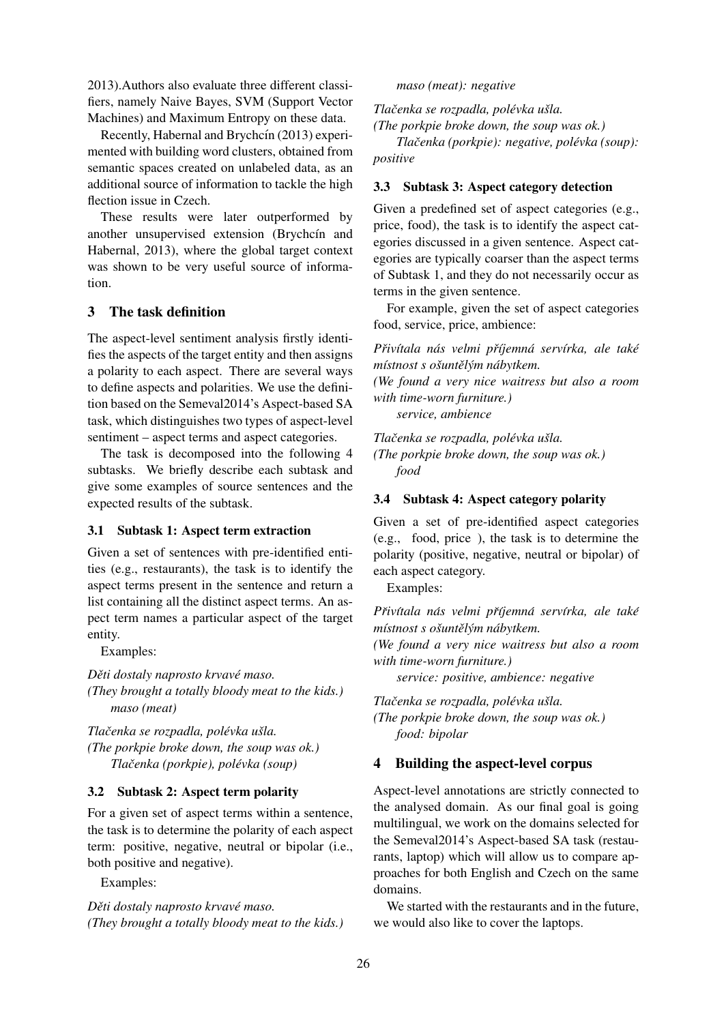2013).Authors also evaluate three different classifiers, namely Naive Bayes, SVM (Support Vector Machines) and Maximum Entropy on these data.

Recently, Habernal and Brychcín (2013) experimented with building word clusters, obtained from semantic spaces created on unlabeled data, as an additional source of information to tackle the high flection issue in Czech.

These results were later outperformed by another unsupervised extension (Brychcín and Habernal, 2013), where the global target context was shown to be very useful source of information.

# 3 The task definition

The aspect-level sentiment analysis firstly identifies the aspects of the target entity and then assigns a polarity to each aspect. There are several ways to define aspects and polarities. We use the definition based on the Semeval2014's Aspect-based SA task, which distinguishes two types of aspect-level sentiment – aspect terms and aspect categories.

The task is decomposed into the following 4 subtasks. We briefly describe each subtask and give some examples of source sentences and the expected results of the subtask.

# 3.1 Subtask 1: Aspect term extraction

Given a set of sentences with pre-identified entities (e.g., restaurants), the task is to identify the aspect terms present in the sentence and return a list containing all the distinct aspect terms. An aspect term names a particular aspect of the target entity.

Examples:

*Děti dostaly naprosto krvavé maso. (They brought a totally bloody meat to the kids.)* → {*maso (meat)*

*Tlacenka se rozpadla, pol ˇ evka u ´ sla. ˇ (The porkpie broke down, the soup was ok.)*  $Tla \check{c}$ enka (porkpie), polévka (soup)

# 3.2 Subtask 2: Aspect term polarity

For a given set of aspect terms within a sentence, the task is to determine the polarity of each aspect term: positive, negative, neutral or bipolar (i.e., both positive and negative).

Examples:

*Děti dostaly naprosto krvavé maso. (They brought a totally bloody meat to the kids.)* → {*maso (meat): negative*

*Tlacenka se rozpadla, pol ˇ evka u ´ sla. ˇ*

*(The porkpie broke down, the soup was ok.)*

*Tlačenka (porkpie): negative, polévka (soup): positive*

# 3.3 Subtask 3: Aspect category detection

Given a predefined set of aspect categories (e.g., price, food), the task is to identify the aspect categories discussed in a given sentence. Aspect categories are typically coarser than the aspect terms of Subtask 1, and they do not necessarily occur as terms in the given sentence.

For example, given the set of aspect categories food, service, price, ambience:

*Priv ˇ ´ıtala nas velmi p ´ rˇ´ıjemna serv ´ ´ırka, ale take´ místnost s ošuntělým nábytkem.* 

*(We found a very nice waitress but also a room with time-worn furniture.)*

→ {*service, ambience*

*Tlacenka se rozpadla, pol ˇ evka u ´ sla. ˇ (The porkpie broke down, the soup was ok.)* → {*food*

# 3.4 Subtask 4: Aspect category polarity

Given a set of pre-identified aspect categories (e.g., food, price ), the task is to determine the polarity (positive, negative, neutral or bipolar) of each aspect category.

Examples:

*Priv ˇ ´ıtala nas velmi p ´ rˇ´ıjemna serv ´ ´ırka, ale take´ místnost s ošuntělým nábytkem.* 

*(We found a very nice waitress but also a room with time-worn furniture.)*

 $s$ ervice: positive, ambience: negative

*Tlacenka se rozpadla, pol ˇ evka u ´ sla. ˇ (The porkpie broke down, the soup was ok.)* → {*food: bipolar*

# 4 Building the aspect-level corpus

Aspect-level annotations are strictly connected to the analysed domain. As our final goal is going multilingual, we work on the domains selected for the Semeval2014's Aspect-based SA task (restaurants, laptop) which will allow us to compare approaches for both English and Czech on the same domains.

We started with the restaurants and in the future, we would also like to cover the laptops.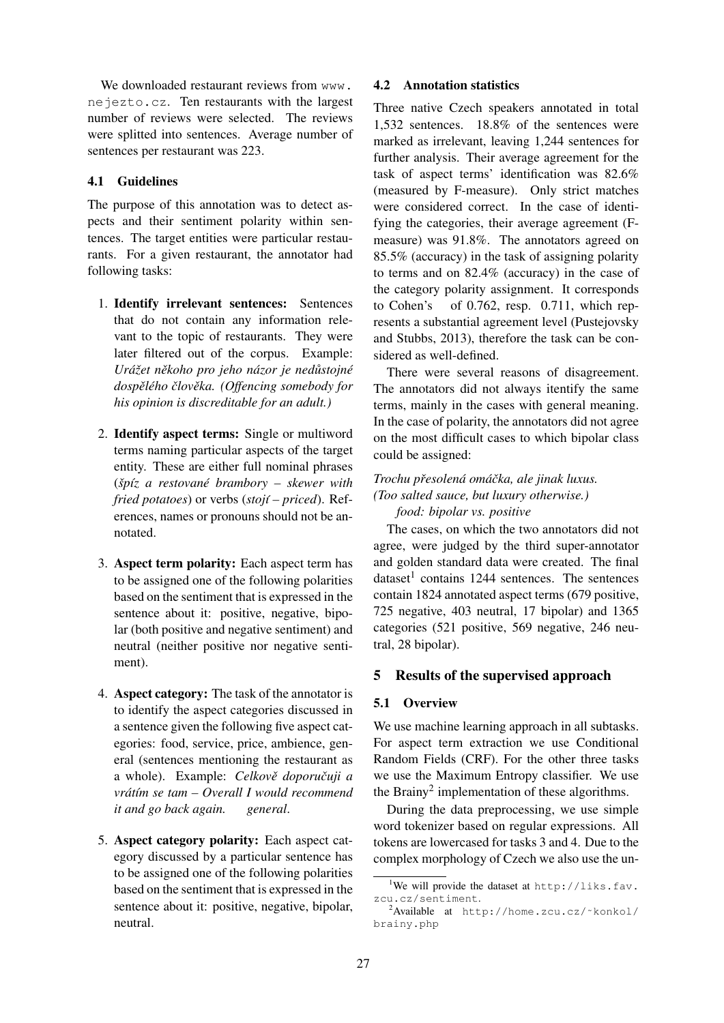We downloaded restaurant reviews from www. nejezto.cz. Ten restaurants with the largest number of reviews were selected. The reviews were splitted into sentences. Average number of sentences per restaurant was 223.

## 4.1 Guidelines

The purpose of this annotation was to detect aspects and their sentiment polarity within sentences. The target entities were particular restaurants. For a given restaurant, the annotator had following tasks:

- 1. Identify irrelevant sentences: Sentences that do not contain any information relevant to the topic of restaurants. They were later filtered out of the corpus. Example: *Ura´zet n ˇ ekoho pro jeho n ˇ azor je ned ´ ustojn ˚ e´ dospelˇ eho ´ clov ˇ eka. (Offencing somebody for ˇ his opinion is discreditable for an adult.)*
- 2. Identify aspect terms: Single or multiword terms naming particular aspects of the target entity. These are either full nominal phrases (*spˇ ´ız a restovane brambory – skewer with ´ fried potatoes*) or verbs (*stoj´ı – priced*). References, names or pronouns should not be annotated.
- 3. Aspect term polarity: Each aspect term has to be assigned one of the following polarities based on the sentiment that is expressed in the sentence about it: positive, negative, bipolar (both positive and negative sentiment) and neutral (neither positive nor negative sentiment).
- 4. Aspect category: The task of the annotator is to identify the aspect categories discussed in a sentence given the following five aspect categories: food, service, price, ambience, general (sentences mentioning the restaurant as a whole). Example: Celkově doporučuji a *vrat´ ´ım se tam – Overall I would recommend it and go back again. general*.
- 5. Aspect category polarity: Each aspect category discussed by a particular sentence has to be assigned one of the following polarities based on the sentiment that is expressed in the sentence about it: positive, negative, bipolar, neutral.

## 4.2 Annotation statistics

Three native Czech speakers annotated in total 1,532 sentences. 18.8% of the sentences were marked as irrelevant, leaving 1,244 sentences for further analysis. Their average agreement for the task of aspect terms' identification was 82.6% (measured by F-measure). Only strict matches were considered correct. In the case of identifying the categories, their average agreement (Fmeasure) was 91.8%. The annotators agreed on 85.5% (accuracy) in the task of assigning polarity to terms and on 82.4% (accuracy) in the case of the category polarity assignment. It corresponds to Cohen's of 0.762, resp. 0.711, which represents a substantial agreement level (Pustejovsky and Stubbs, 2013), therefore the task can be considered as well-defined.

There were several reasons of disagreement. The annotators did not always itentify the same terms, mainly in the cases with general meaning. In the case of polarity, the annotators did not agree on the most difficult cases to which bipolar class could be assigned:

# *Trochu presolen ˇ a om ´ a´cka, ale jinak luxus. ˇ (Too salted sauce, but luxury otherwise.)* → {*food: bipolar vs. positive*

The cases, on which the two annotators did not agree, were judged by the third super-annotator and golden standard data were created. The final dataset<sup>1</sup> contains 1244 sentences. The sentences contain 1824 annotated aspect terms (679 positive, 725 negative, 403 neutral, 17 bipolar) and 1365 categories (521 positive, 569 negative, 246 neutral, 28 bipolar).

# 5 Results of the supervised approach

## 5.1 Overview

We use machine learning approach in all subtasks. For aspect term extraction we use Conditional Random Fields (CRF). For the other three tasks we use the Maximum Entropy classifier. We use the Brainy<sup>2</sup> implementation of these algorithms.

During the data preprocessing, we use simple word tokenizer based on regular expressions. All tokens are lowercased for tasks 3 and 4. Due to the complex morphology of Czech we also use the un-

<sup>&</sup>lt;sup>1</sup>We will provide the dataset at  $http://liks.fav.$ zcu.cz/sentiment.

 $2$ Available at http://home.zcu.cz/~konkol/ brainy.php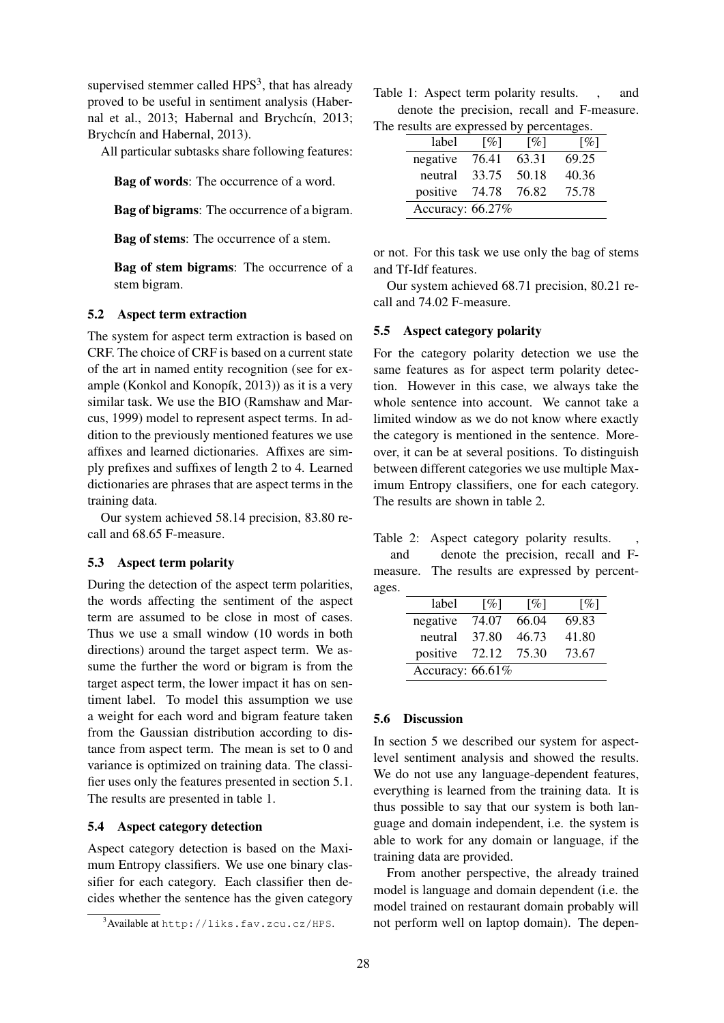supervised stemmer called  $HPS<sup>3</sup>$ , that has already proved to be useful in sentiment analysis (Habernal et al., 2013; Habernal and Brychcín, 2013; Brychcín and Habernal, 2013).

All particular subtasks share following features:

Bag of words: The occurrence of a word.

Bag of bigrams: The occurrence of a bigram.

Bag of stems: The occurrence of a stem.

Bag of stem bigrams: The occurrence of a stem bigram.

#### 5.2 Aspect term extraction

The system for aspect term extraction is based on CRF. The choice of CRF is based on a current state of the art in named entity recognition (see for example (Konkol and Konopík,  $2013$ ) as it is a very similar task. We use the BIO (Ramshaw and Marcus, 1999) model to represent aspect terms. In addition to the previously mentioned features we use affixes and learned dictionaries. Affixes are simply prefixes and suffixes of length 2 to 4. Learned dictionaries are phrases that are aspect terms in the training data.

Our system achieved 58.14 precision, 83.80 recall and 68.65 F-measure.

#### 5.3 Aspect term polarity

During the detection of the aspect term polarities, the words affecting the sentiment of the aspect term are assumed to be close in most of cases. Thus we use a small window (10 words in both directions) around the target aspect term. We assume the further the word or bigram is from the target aspect term, the lower impact it has on sentiment label. To model this assumption we use a weight for each word and bigram feature taken from the Gaussian distribution according to distance from aspect term. The mean is set to 0 and variance is optimized on training data. The classifier uses only the features presented in section 5.1. The results are presented in table 1.

### 5.4 Aspect category detection

Aspect category detection is based on the Maximum Entropy classifiers. We use one binary classifier for each category. Each classifier then decides whether the sentence has the given category

Table 1: Aspect term polarity results. , and denote the precision, recall and F-measure. The results are expressed by percentages.

| - - - - - - - - - -<br><br>- <i>-</i> - - |                    |                    |                    |  |  |  |  |
|-------------------------------------------|--------------------|--------------------|--------------------|--|--|--|--|
| label                                     | $\lceil \% \rceil$ | $\lceil \% \rceil$ | $\lceil \% \rceil$ |  |  |  |  |
| negative                                  | 76.41              | 63.31              | 69.25              |  |  |  |  |
| neutral                                   | 33.75              | 50.18              | 40.36              |  |  |  |  |
| positive                                  | 74.78              | 76.82              | 75.78              |  |  |  |  |
| Accuracy: 66.27%                          |                    |                    |                    |  |  |  |  |

or not. For this task we use only the bag of stems and Tf-Idf features.

Our system achieved 68.71 precision, 80.21 recall and 74.02 F-measure.

### 5.5 Aspect category polarity

For the category polarity detection we use the same features as for aspect term polarity detection. However in this case, we always take the whole sentence into account. We cannot take a limited window as we do not know where exactly the category is mentioned in the sentence. Moreover, it can be at several positions. To distinguish between different categories we use multiple Maximum Entropy classifiers, one for each category. The results are shown in table 2.

| Table 2: Aspect category polarity results. |  |  |  |  |  |
|--------------------------------------------|--|--|--|--|--|
|--------------------------------------------|--|--|--|--|--|

and denote the precision, recall and Fmeasure. The results are expressed by percentages.

| label               | $\lceil \% \rceil$ | $\lceil \% \rceil$ | $\lceil \% \rceil$ |  |  |  |
|---------------------|--------------------|--------------------|--------------------|--|--|--|
| negative            | 74.07              | 66.04              | 69.83              |  |  |  |
| neutral             | 37.80              | 46.73              | 41.80              |  |  |  |
| positive            | 72.12              | 75.30              | 73.67              |  |  |  |
| Accuracy: $66.61\%$ |                    |                    |                    |  |  |  |

## 5.6 Discussion

In section 5 we described our system for aspectlevel sentiment analysis and showed the results. We do not use any language-dependent features, everything is learned from the training data. It is thus possible to say that our system is both language and domain independent, i.e. the system is able to work for any domain or language, if the training data are provided.

From another perspective, the already trained model is language and domain dependent (i.e. the model trained on restaurant domain probably will not perform well on laptop domain). The depen-

<sup>3</sup>Available at http://liks.fav.zcu.cz/HPS.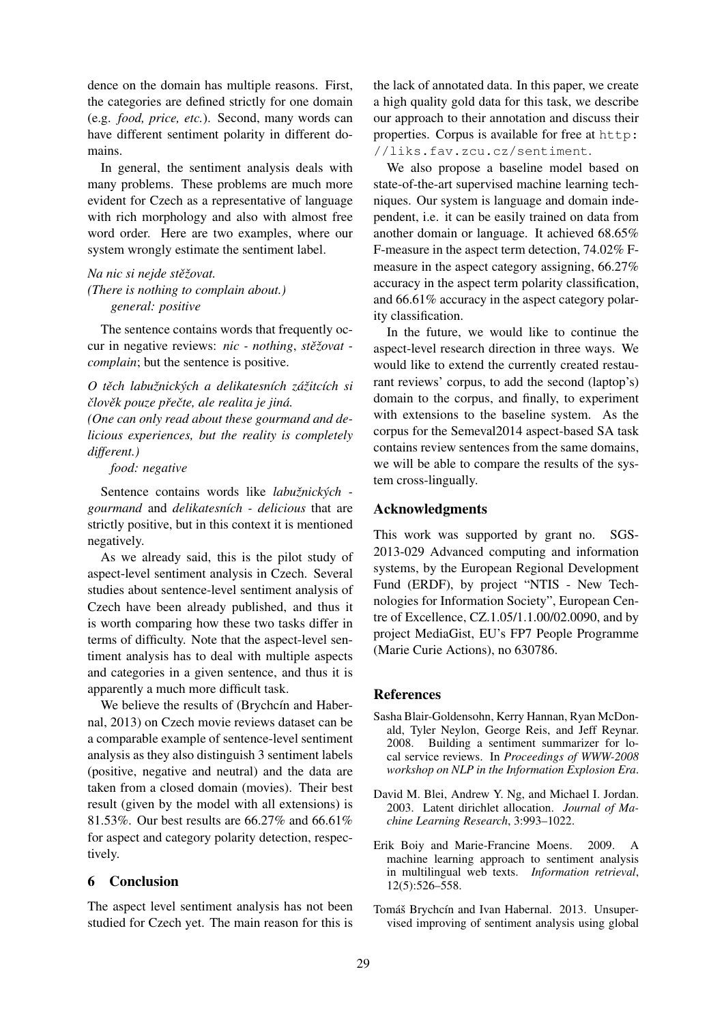dence on the domain has multiple reasons. First, the categories are defined strictly for one domain (e.g. *food, price, etc.*). Second, many words can have different sentiment polarity in different domains.

In general, the sentiment analysis deals with many problems. These problems are much more evident for Czech as a representative of language with rich morphology and also with almost free word order. Here are two examples, where our system wrongly estimate the sentiment label.

*Na nic si nejde steˇzovat. ˇ (There is nothing to complain about.)* → {*general: positive*

The sentence contains words that frequently occur in negative reviews: *nic - nothing*, *steˇzovat - ˇ complain*; but the sentence is positive.

*O tech labu ˇ znick ˇ ych a delikatesn ´ ´ıch za´zitc ˇ ´ıch si clov ˇ ek pouze p ˇ reˇ cte, ale realita je jin ˇ a. ´*

*(One can only read about these gourmand and delicious experiences, but the reality is completely different.)*

→ {*food: negative*

Sentence contains words like *labužnických gourmand* and *delikatesních - delicious* that are strictly positive, but in this context it is mentioned negatively.

As we already said, this is the pilot study of aspect-level sentiment analysis in Czech. Several studies about sentence-level sentiment analysis of Czech have been already published, and thus it is worth comparing how these two tasks differ in terms of difficulty. Note that the aspect-level sentiment analysis has to deal with multiple aspects and categories in a given sentence, and thus it is apparently a much more difficult task.

We believe the results of (Brychcín and Habernal, 2013) on Czech movie reviews dataset can be a comparable example of sentence-level sentiment analysis as they also distinguish 3 sentiment labels (positive, negative and neutral) and the data are taken from a closed domain (movies). Their best result (given by the model with all extensions) is 81.53%. Our best results are 66.27% and 66.61% for aspect and category polarity detection, respectively.

# 6 Conclusion

The aspect level sentiment analysis has not been studied for Czech yet. The main reason for this is

the lack of annotated data. In this paper, we create a high quality gold data for this task, we describe our approach to their annotation and discuss their properties. Corpus is available for free at http: //liks.fav.zcu.cz/sentiment.

We also propose a baseline model based on state-of-the-art supervised machine learning techniques. Our system is language and domain independent, i.e. it can be easily trained on data from another domain or language. It achieved 68.65% F-measure in the aspect term detection, 74.02% Fmeasure in the aspect category assigning, 66.27% accuracy in the aspect term polarity classification, and 66.61% accuracy in the aspect category polarity classification.

In the future, we would like to continue the aspect-level research direction in three ways. We would like to extend the currently created restaurant reviews' corpus, to add the second (laptop's) domain to the corpus, and finally, to experiment with extensions to the baseline system. As the corpus for the Semeval2014 aspect-based SA task contains review sentences from the same domains, we will be able to compare the results of the system cross-lingually.

## Acknowledgments

This work was supported by grant no. SGS-2013-029 Advanced computing and information systems, by the European Regional Development Fund (ERDF), by project "NTIS - New Technologies for Information Society", European Centre of Excellence, CZ.1.05/1.1.00/02.0090, and by project MediaGist, EU's FP7 People Programme (Marie Curie Actions), no 630786.

## **References**

- Sasha Blair-Goldensohn, Kerry Hannan, Ryan McDonald, Tyler Neylon, George Reis, and Jeff Reynar. 2008. Building a sentiment summarizer for local service reviews. In *Proceedings of WWW-2008 workshop on NLP in the Information Explosion Era*.
- David M. Blei, Andrew Y. Ng, and Michael I. Jordan. 2003. Latent dirichlet allocation. *Journal of Machine Learning Research*, 3:993–1022.
- Erik Boiy and Marie-Francine Moens. 2009. A machine learning approach to sentiment analysis in multilingual web texts. *Information retrieval*, 12(5):526–558.
- Tomáš Brychcín and Ivan Habernal. 2013. Unsupervised improving of sentiment analysis using global